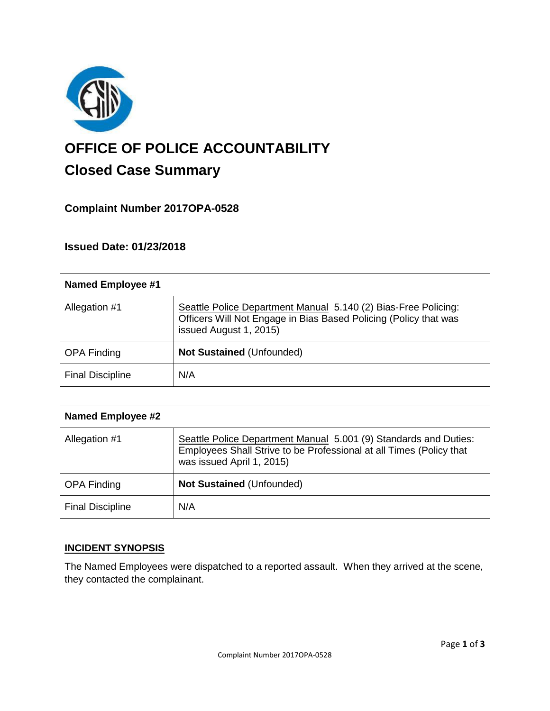

# **OFFICE OF POLICE ACCOUNTABILITY**

# **Closed Case Summary**

## **Complaint Number 2017OPA-0528**

### **Issued Date: 01/23/2018**

| <b>Named Employee #1</b> |                                                                                                                                                              |
|--------------------------|--------------------------------------------------------------------------------------------------------------------------------------------------------------|
| Allegation #1            | Seattle Police Department Manual 5.140 (2) Bias-Free Policing:<br>Officers Will Not Engage in Bias Based Policing (Policy that was<br>issued August 1, 2015) |
| <b>OPA Finding</b>       | <b>Not Sustained (Unfounded)</b>                                                                                                                             |
| <b>Final Discipline</b>  | N/A                                                                                                                                                          |

| <b>Named Employee #2</b> |                                                                                                                                                                      |
|--------------------------|----------------------------------------------------------------------------------------------------------------------------------------------------------------------|
| Allegation #1            | Seattle Police Department Manual 5.001 (9) Standards and Duties:<br>Employees Shall Strive to be Professional at all Times (Policy that<br>was issued April 1, 2015) |
| <b>OPA Finding</b>       | <b>Not Sustained (Unfounded)</b>                                                                                                                                     |
| <b>Final Discipline</b>  | N/A                                                                                                                                                                  |

#### **INCIDENT SYNOPSIS**

The Named Employees were dispatched to a reported assault. When they arrived at the scene, they contacted the complainant.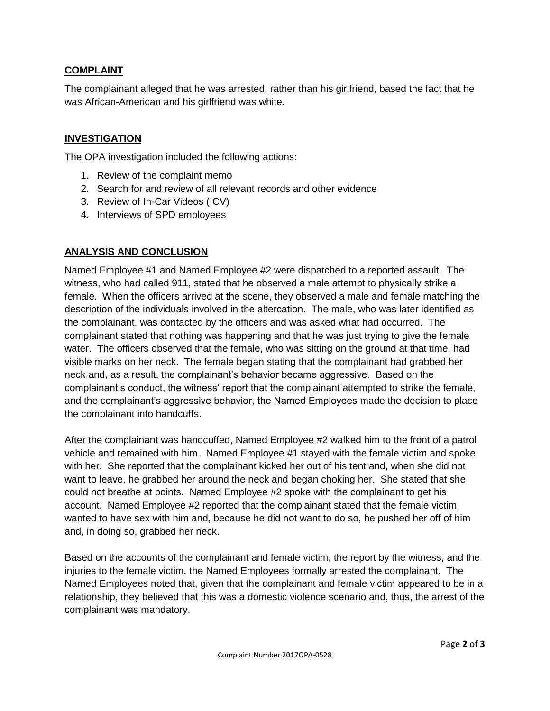#### **COMPLAINT**

The complainant alleged that he was arrested, rather than his girlfriend, based the fact that he was African-American and his girlfriend was white.

#### **INVESTIGATION**

The OPA investigation included the following actions:

- 1. Review of the complaint memo
- 2. Search for and review of all relevant records and other evidence
- 3. Review of In-Car Videos (ICV)
- 4. Interviews of SPD employees

#### **ANALYSIS AND CONCLUSION**

Named Employee #1 and Named Employee #2 were dispatched to a reported assault. The witness, who had called 911, stated that he observed a male attempt to physically strike a female. When the officers arrived at the scene, they observed a male and female matching the description of the individuals involved in the altercation. The male, who was later identified as the complainant, was contacted by the officers and was asked what had occurred. The complainant stated that nothing was happening and that he was just trying to give the female water. The officers observed that the female, who was sitting on the ground at that time, had visible marks on her neck. The female began stating that the complainant had grabbed her neck and, as a result, the complainant's behavior became aggressive. Based on the complainant's conduct, the witness' report that the complainant attempted to strike the female, and the complainant's aggressive behavior, the Named Employees made the decision to place the complainant into handcuffs.

After the complainant was handcuffed, Named Employee #2 walked him to the front of a patrol vehicle and remained with him. Named Employee #1 stayed with the female victim and spoke with her. She reported that the complainant kicked her out of his tent and, when she did not want to leave, he grabbed her around the neck and began choking her. She stated that she could not breathe at points. Named Employee #2 spoke with the complainant to get his account. Named Employee #2 reported that the complainant stated that the female victim wanted to have sex with him and, because he did not want to do so, he pushed her off of him and, in doing so, grabbed her neck.

Based on the accounts of the complainant and female victim, the report by the witness, and the injuries to the female victim, the Named Employees formally arrested the complainant. The Named Employees noted that, given that the complainant and female victim appeared to be in a relationship, they believed that this was a domestic violence scenario and, thus, the arrest of the complainant was mandatory.